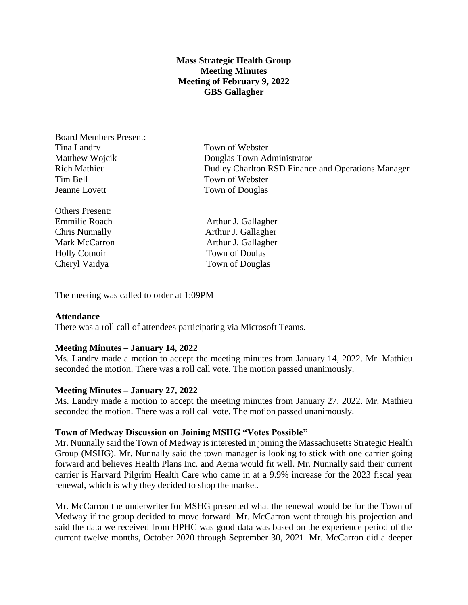# **Mass Strategic Health Group Meeting Minutes Meeting of February 9, 2022 GBS Gallagher**

Board Members Present: Tina Landry Town of Webster Tim Bell Town of Webster Jeanne Lovett Town of Douglas

Others Present:

Matthew Wojcik Douglas Town Administrator Rich Mathieu Dudley Charlton RSD Finance and Operations Manager

Emmilie Roach Arthur J. Gallagher Chris Nunnally Arthur J. Gallagher Mark McCarron **Arthur J. Gallagher** Holly Cotnoir Town of Doulas Cheryl Vaidya Town of Douglas

The meeting was called to order at 1:09PM

## **Attendance**

There was a roll call of attendees participating via Microsoft Teams.

## **Meeting Minutes – January 14, 2022**

Ms. Landry made a motion to accept the meeting minutes from January 14, 2022. Mr. Mathieu seconded the motion. There was a roll call vote. The motion passed unanimously.

## **Meeting Minutes – January 27, 2022**

Ms. Landry made a motion to accept the meeting minutes from January 27, 2022. Mr. Mathieu seconded the motion. There was a roll call vote. The motion passed unanimously.

#### **Town of Medway Discussion on Joining MSHG "Votes Possible"**

Mr. Nunnally said the Town of Medway is interested in joining the Massachusetts Strategic Health Group (MSHG). Mr. Nunnally said the town manager is looking to stick with one carrier going forward and believes Health Plans Inc. and Aetna would fit well. Mr. Nunnally said their current carrier is Harvard Pilgrim Health Care who came in at a 9.9% increase for the 2023 fiscal year renewal, which is why they decided to shop the market.

Mr. McCarron the underwriter for MSHG presented what the renewal would be for the Town of Medway if the group decided to move forward. Mr. McCarron went through his projection and said the data we received from HPHC was good data was based on the experience period of the current twelve months, October 2020 through September 30, 2021. Mr. McCarron did a deeper